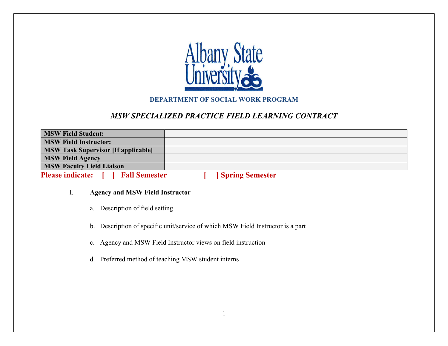

### **DEPARTMENT OF SOCIAL WORK PROGRAM**

## *MSW SPECIALIZED PRACTICE FIELD LEARNING CONTRACT*

| <b>MSW Field Student:</b>                         |                        |
|---------------------------------------------------|------------------------|
| <b>MSW Field Instructor:</b>                      |                        |
| <b>MSW Task Supervisor [If applicable]</b>        |                        |
| <b>MSW Field Agency</b>                           |                        |
| <b>MSW Faculty Field Liaison</b>                  |                        |
| <b>Please indicate:</b> [<br><b>Fall Semester</b> | <b>Spring Semester</b> |

#### I. **Agency and MSW Field Instructor**

- a. Description of field setting
- b. Description of specific unit/service of which MSW Field Instructor is a part
- c. Agency and MSW Field Instructor views on field instruction
- d. Preferred method of teaching MSW student interns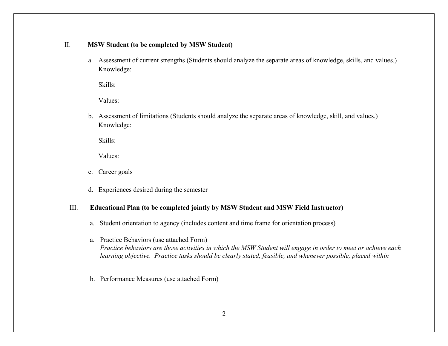#### II. **MSW Student (to be completed by MSW Student)**

a. Assessment of current strengths (Students should analyze the separate areas of knowledge, skills, and values.) Knowledge:

Skills:

Values:

b. Assessment of limitations (Students should analyze the separate areas of knowledge, skill, and values.) Knowledge:

Skills:

Values:

- c. Career goals
- d. Experiences desired during the semester

#### III. **Educational Plan (to be completed jointly by MSW Student and MSW Field Instructor)**

- a. Student orientation to agency (includes content and time frame for orientation process)
- a. Practice Behaviors (use attached Form) *Practice behaviors are those activities in which the MSW Student will engage in order to meet or achieve each learning objective. Practice tasks should be clearly stated, feasible, and whenever possible, placed within*
- b. Performance Measures (use attached Form)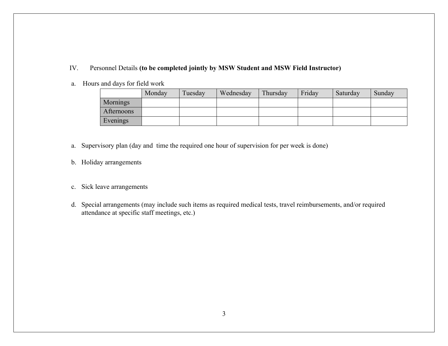- IV. Personnel Details **(to be completed jointly by MSW Student and MSW Field Instructor)**
- a. Hours and days for field work

|            | Monday | Tuesday | Wednesday | Thursday | Friday | Saturday | Sunday |
|------------|--------|---------|-----------|----------|--------|----------|--------|
| Mornings   |        |         |           |          |        |          |        |
| Afternoons |        |         |           |          |        |          |        |
| Evenings   |        |         |           |          |        |          |        |

- a. Supervisory plan (day and time the required one hour of supervision for per week is done)
- b. Holiday arrangements
- c. Sick leave arrangements
- d. Special arrangements (may include such items as required medical tests, travel reimbursements, and/or required attendance at specific staff meetings, etc.)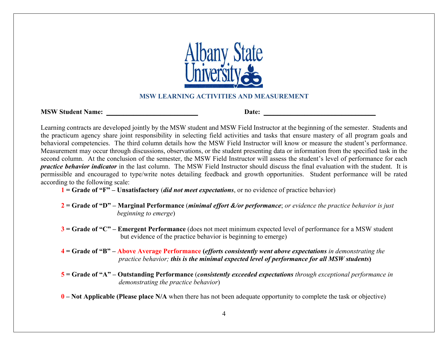

#### **MSW LEARNING ACTIVITIES AND MEASUREMENT**

| <b>MSW Student Name:</b> | Date: |  |
|--------------------------|-------|--|
|                          |       |  |

Learning contracts are developed jointly by the MSW student and MSW Field Instructor at the beginning of the semester. Students and the practicum agency share joint responsibility in selecting field activities and tasks that ensure mastery of all program goals and behavioral competencies. The third column details how the MSW Field Instructor will know or measure the student's performance. Measurement may occur through discussions, observations, or the student presenting data or information from the specified task in the second column. At the conclusion of the semester, the MSW Field Instructor will assess the student's level of performance for each *practice behavior indicator* in the last column. The MSW Field Instructor should discuss the final evaluation with the student. It is permissible and encouraged to type/write notes detailing feedback and growth opportunities. Student performance will be rated according to the following scale:

- **1 = Grade of "F" – Unsatisfactory** (*did not meet expectations*, or no evidence of practice behavior)
- **2 = Grade of "D" – Marginal Performance** (*minimal effort &/or performance*; *or evidence the practice behavior is just*  *beginning to emerge*)
- **3 = Grade of "C" – Emergent Performance** (does not meet minimum expected level of performance for a MSW student but evidence of the practice behavior is beginning to emerge)
- **4 = Grade of "B" – Above Average Performance (***efforts consistently went above expectations in demonstrating the practice behavior; this is the minimal expected level of performance for all MSW students***)**
- **5 = Grade of "A" – Outstanding Performance** (*consistently exceeded expectations through exceptional performance in demonstrating the practice behavior*)
- **0 – Not Applicable (Please place N/A** when there has not been adequate opportunity to complete the task or objective)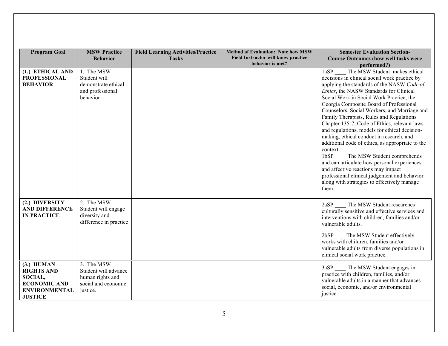| <b>Program Goal</b>                                                                                           | <b>MSW Practice</b><br><b>Behavior</b>                                                    | <b>Field Learning Activities/Practice</b><br><b>Tasks</b> | <b>Method of Evaluation: Note how MSW</b><br><b>Field Instructor will know practice</b><br>behavior is met? | <b>Semester Evaluation Section-</b><br><b>Course Outcomes (how well tasks were</b><br>performed?)                                                                                                                                                                                                                                                                                                                                                                                                                                                                                                                                                                                                                                                                                                                   |
|---------------------------------------------------------------------------------------------------------------|-------------------------------------------------------------------------------------------|-----------------------------------------------------------|-------------------------------------------------------------------------------------------------------------|---------------------------------------------------------------------------------------------------------------------------------------------------------------------------------------------------------------------------------------------------------------------------------------------------------------------------------------------------------------------------------------------------------------------------------------------------------------------------------------------------------------------------------------------------------------------------------------------------------------------------------------------------------------------------------------------------------------------------------------------------------------------------------------------------------------------|
| (1.) ETHICAL AND<br><b>PROFESSIONAL</b><br><b>BEHAVIOR</b>                                                    | 1. The MSW<br>Student will<br>demonstrate ethical<br>and professional<br>behavior         |                                                           |                                                                                                             | The MSW Student makes ethical<br>1aSP<br>decisions in clinical social work practice by<br>applying the standards of the NASW Code of<br>Ethics, the NASW Standards for Clinical<br>Social Work in Social Work Practice, the<br>Georgia Composite Board of Professional<br>Counselors, Social Workers, and Marriage and<br>Family Therapists, Rules and Regulations<br>Chapter 135-7, Code of Ethics, relevant laws<br>and regulations, models for ethical decision-<br>making, ethical conduct in research, and<br>additional code of ethics, as appropriate to the<br>context.<br>The MSW Student comprehends<br>1bSP<br>and can articulate how personal experiences<br>and affective reactions may impact<br>professional clinical judgement and behavior<br>along with strategies to effectively manage<br>them. |
| (2.) DIVERSITY<br><b>AND DIFFERENCE</b><br><b>IN PRACTICE</b>                                                 | 2. The MSW<br>Student will engage<br>diversity and<br>difference in practice              |                                                           |                                                                                                             | The MSW Student researches<br>2aSP<br>culturally sensitive and effective services and<br>interventions with children, families and/or<br>vulnerable adults.                                                                                                                                                                                                                                                                                                                                                                                                                                                                                                                                                                                                                                                         |
|                                                                                                               |                                                                                           |                                                           |                                                                                                             | The MSW Student effectively<br>2bSP<br>works with children, families and/or<br>vulnerable adults from diverse populations in<br>clinical social work practice.                                                                                                                                                                                                                                                                                                                                                                                                                                                                                                                                                                                                                                                      |
| $(3.)$ HUMAN<br><b>RIGHTS AND</b><br>SOCIAL,<br><b>ECONOMIC AND</b><br><b>ENVIRONMENTAL</b><br><b>JUSTICE</b> | 3. The MSW<br>Student will advance<br>human rights and<br>social and economic<br>justice. |                                                           |                                                                                                             | 3aSP<br>The MSW Student engages in<br>practice with children, families, and/or<br>vulnerable adults in a manner that advances<br>social, economic, and/or environmental<br>justice.                                                                                                                                                                                                                                                                                                                                                                                                                                                                                                                                                                                                                                 |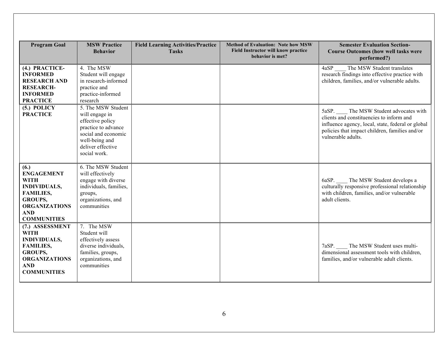| <b>Program Goal</b>                                                                                                                                               | <b>MSW Practice</b><br><b>Behavior</b>                                                                                                                        | <b>Field Learning Activities/Practice</b><br><b>Tasks</b> | <b>Method of Evaluation: Note how MSW</b><br><b>Field Instructor will know practice</b><br>behavior is met? | <b>Semester Evaluation Section-</b><br><b>Course Outcomes (how well tasks were</b><br>performed?)                                                                                                             |
|-------------------------------------------------------------------------------------------------------------------------------------------------------------------|---------------------------------------------------------------------------------------------------------------------------------------------------------------|-----------------------------------------------------------|-------------------------------------------------------------------------------------------------------------|---------------------------------------------------------------------------------------------------------------------------------------------------------------------------------------------------------------|
| (4.) PRACTICE-<br><b>INFORMED</b><br><b>RESEARCH AND</b><br><b>RESEARCH-</b><br><b>INFORMED</b><br><b>PRACTICE</b>                                                | 4. The MSW<br>Student will engage<br>in research-informed<br>practice and<br>practice-informed<br>research                                                    |                                                           |                                                                                                             | The MSW Student translates<br>4aSP<br>research findings into effective practice with<br>children, families, and/or vulnerable adults.                                                                         |
| $(5.)$ POLICY<br><b>PRACTICE</b>                                                                                                                                  | 5. The MSW Student<br>will engage in<br>effective policy<br>practice to advance<br>social and economic<br>well-being and<br>deliver effective<br>social work. |                                                           |                                                                                                             | 5aSP. The MSW Student advocates with<br>clients and constituencies to inform and<br>influence agency, local, state, federal or global<br>policies that impact children, families and/or<br>vulnerable adults. |
| (6.)<br><b>ENGAGEMENT</b><br><b>WITH</b><br><b>INDIVIDUALS,</b><br><b>FAMILIES,</b><br><b>GROUPS,</b><br><b>ORGANIZATIONS</b><br><b>AND</b><br><b>COMMUNITIES</b> | 6. The MSW Student<br>will effectively<br>engage with diverse<br>individuals, families,<br>groups,<br>organizations, and<br>communities                       |                                                           |                                                                                                             | 6aSP. The MSW Student develops a<br>culturally responsive professional relationship<br>with children, families, and/or vulnerable<br>adult clients.                                                           |
| (7.) ASSESSMENT<br><b>WITH</b><br><b>INDIVIDUALS,</b><br><b>FAMILIES,</b><br><b>GROUPS,</b><br><b>ORGANIZATIONS</b><br><b>AND</b><br><b>COMMUNITIES</b>           | 7. The MSW<br>Student will<br>effectively assess<br>diverse individuals.<br>families, groups,<br>organizations, and<br>communities                            |                                                           |                                                                                                             | 7aSP. The MSW Student uses multi-<br>dimensional assessment tools with children,<br>families, and/or vulnerable adult clients.                                                                                |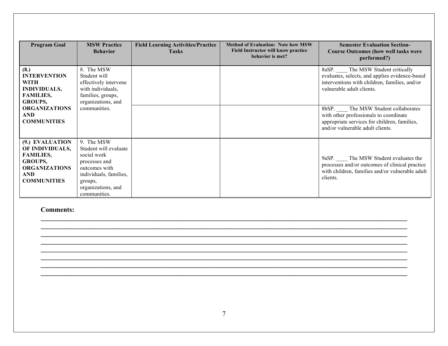| <b>Program Goal</b>                                                                                                                           | <b>MSW Practice</b><br><b>Behavior</b>                                                                                                                          | <b>Field Learning Activities/Practice</b><br><b>Tasks</b> | <b>Method of Evaluation: Note how MSW</b><br>Field Instructor will know practice<br>behavior is met? | <b>Semester Evaluation Section-</b><br><b>Course Outcomes (how well tasks were</b><br>performed?)                                                                                                                                                      |
|-----------------------------------------------------------------------------------------------------------------------------------------------|-----------------------------------------------------------------------------------------------------------------------------------------------------------------|-----------------------------------------------------------|------------------------------------------------------------------------------------------------------|--------------------------------------------------------------------------------------------------------------------------------------------------------------------------------------------------------------------------------------------------------|
| (8.)<br><b>INTERVENTION</b><br><b>WITH</b><br><b>INDIVIDUALS,</b><br><b>FAMILIES,</b><br><b>GROUPS,</b><br><b>ORGANIZATIONS</b><br><b>AND</b> | 8. The MSW<br>Student will<br>effectively intervene<br>with individuals,<br>families, groups,<br>organizations, and<br>communities.                             |                                                           |                                                                                                      | The MSW Student critically<br>8aSP.<br>evaluates, selects, and applies evidence-based<br>interventions with children, families, and/or<br>vulnerable adult clients.<br>8bSP.<br>The MSW Student collaborates<br>with other professionals to coordinate |
| <b>COMMUNITIES</b>                                                                                                                            |                                                                                                                                                                 |                                                           |                                                                                                      | appropriate services for children, families,<br>and/or vulnerable adult clients.                                                                                                                                                                       |
| (9.) EVALUATION<br>OF INDIVIDUALS,<br><b>FAMILIES,</b><br><b>GROUPS,</b><br><b>ORGANIZATIONS</b><br><b>AND</b><br><b>COMMUNITIES</b>          | 9. The MSW<br>Student will evaluate<br>social work<br>processes and<br>outcomes with<br>individuals, families,<br>groups,<br>organizations, and<br>communities. |                                                           |                                                                                                      | 9aSP. The MSW Student evaluates the<br>processes and/or outcomes of clinical practice<br>with children, families and/or vulnerable adult<br>clients.                                                                                                   |

**Comments:** 

**\_\_\_\_\_\_\_\_\_\_\_\_\_\_\_\_\_\_\_\_\_\_\_\_\_\_\_\_\_\_\_\_\_\_\_\_\_\_\_\_\_\_\_\_\_\_\_\_\_\_\_\_\_\_\_\_\_\_\_\_\_\_\_\_\_\_\_\_\_\_\_\_\_\_\_\_\_\_\_\_\_\_\_\_\_\_\_\_\_\_\_\_\_\_\_\_\_\_\_\_\_\_\_\_\_\_\_\_**  $\mathcal{L}_\mathcal{L} = \{ \mathcal{L}_\mathcal{L} = \{ \mathcal{L}_\mathcal{L} = \{ \mathcal{L}_\mathcal{L} = \{ \mathcal{L}_\mathcal{L} = \{ \mathcal{L}_\mathcal{L} = \{ \mathcal{L}_\mathcal{L} = \{ \mathcal{L}_\mathcal{L} = \{ \mathcal{L}_\mathcal{L} = \{ \mathcal{L}_\mathcal{L} = \{ \mathcal{L}_\mathcal{L} = \{ \mathcal{L}_\mathcal{L} = \{ \mathcal{L}_\mathcal{L} = \{ \mathcal{L}_\mathcal{L} = \{ \mathcal{L}_\mathcal{$ **\_\_\_\_\_\_\_\_\_\_\_\_\_\_\_\_\_\_\_\_\_\_\_\_\_\_\_\_\_\_\_\_\_\_\_\_\_\_\_\_\_\_\_\_\_\_\_\_\_\_\_\_\_\_\_\_\_\_\_\_\_\_\_\_\_\_\_\_\_\_\_\_\_\_\_\_\_\_\_\_\_\_\_\_\_\_\_\_\_\_\_\_\_\_\_\_\_\_\_\_\_\_\_\_\_\_\_\_ \_\_\_\_\_\_\_\_\_\_\_\_\_\_\_\_\_\_\_\_\_\_\_\_\_\_\_\_\_\_\_\_\_\_\_\_\_\_\_\_\_\_\_\_\_\_\_\_\_\_\_\_\_\_\_\_\_\_\_\_\_\_\_\_\_\_\_\_\_\_\_\_\_\_\_\_\_\_\_\_\_\_\_\_\_\_\_\_\_\_\_\_\_\_\_\_\_\_\_\_\_\_\_\_\_\_\_\_**  $\mathcal{L}_\mathcal{L} = \{ \mathcal{L}_\mathcal{L} = \{ \mathcal{L}_\mathcal{L} = \{ \mathcal{L}_\mathcal{L} = \{ \mathcal{L}_\mathcal{L} = \{ \mathcal{L}_\mathcal{L} = \{ \mathcal{L}_\mathcal{L} = \{ \mathcal{L}_\mathcal{L} = \{ \mathcal{L}_\mathcal{L} = \{ \mathcal{L}_\mathcal{L} = \{ \mathcal{L}_\mathcal{L} = \{ \mathcal{L}_\mathcal{L} = \{ \mathcal{L}_\mathcal{L} = \{ \mathcal{L}_\mathcal{L} = \{ \mathcal{L}_\mathcal{$ **\_\_\_\_\_\_\_\_\_\_\_\_\_\_\_\_\_\_\_\_\_\_\_\_\_\_\_\_\_\_\_\_\_\_\_\_\_\_\_\_\_\_\_\_\_\_\_\_\_\_\_\_\_\_\_\_\_\_\_\_\_\_\_\_\_\_\_\_\_\_\_\_\_\_\_\_\_\_\_\_\_\_\_\_\_\_\_\_\_\_\_\_\_\_\_\_\_\_\_\_\_\_\_\_\_\_\_\_ \_\_\_\_\_\_\_\_\_\_\_\_\_\_\_\_\_\_\_\_\_\_\_\_\_\_\_\_\_\_\_\_\_\_\_\_\_\_\_\_\_\_\_\_\_\_\_\_\_\_\_\_\_\_\_\_\_\_\_\_\_\_\_\_\_\_\_\_\_\_\_\_\_\_\_\_\_\_\_\_\_\_\_\_\_\_\_\_\_\_\_\_\_\_\_\_\_\_\_\_\_\_\_\_\_\_\_\_ \_\_\_\_\_\_\_\_\_\_\_\_\_\_\_\_\_\_\_\_\_\_\_\_\_\_\_\_\_\_\_\_\_\_\_\_\_\_\_\_\_\_\_\_\_\_\_\_\_\_\_\_\_\_\_\_\_\_\_\_\_\_\_\_\_\_\_\_\_\_\_\_\_\_\_\_\_\_\_\_\_\_\_\_\_\_\_\_\_\_\_\_\_\_\_\_\_\_\_\_\_\_\_\_\_\_\_\_**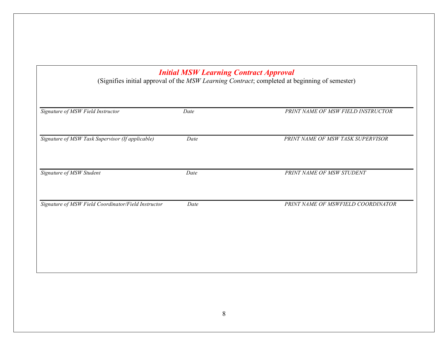# *Initial MSW Learning Contract Approval* (Signifies initial approval of the *MSW Learning Contract*; completed at beginning of semester) *Signature of MSW Field Instructor Date PRINT NAME OF MSW FIELD INSTRUCTOR Signature of MSW Task Supervisor (If applicable) Date PRINT NAME OF MSW TASK SUPERVISOR Signature of MSW Student Date PRINT NAME OF MSW STUDENT Signature of MSW Field Coordinator/Field Instructor Date PRINT NAME OF MSWFIELD COORDINATOR*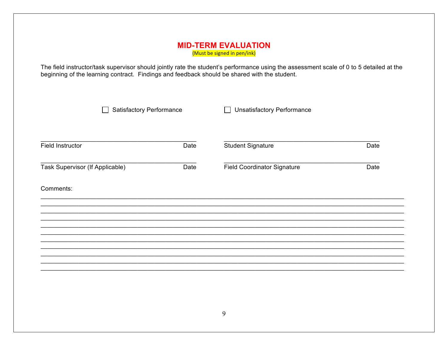#### **MID-TERM EVALUATION** (Must be signed in pen/ink)

The field instructor/task supervisor should jointly rate the student's performance using the assessment scale of 0 to 5 detailed at the beginning of the learning contract. Findings and feedback should be shared with the st

| <b>Satisfactory Performance</b> |                                    |                                   |
|---------------------------------|------------------------------------|-----------------------------------|
| Date                            | <b>Student Signature</b>           | Date                              |
| Date                            | <b>Field Coordinator Signature</b> | Date                              |
|                                 |                                    |                                   |
|                                 |                                    |                                   |
|                                 |                                    |                                   |
|                                 |                                    |                                   |
|                                 |                                    |                                   |
|                                 |                                    |                                   |
|                                 |                                    | <b>Unsatisfactory Performance</b> |